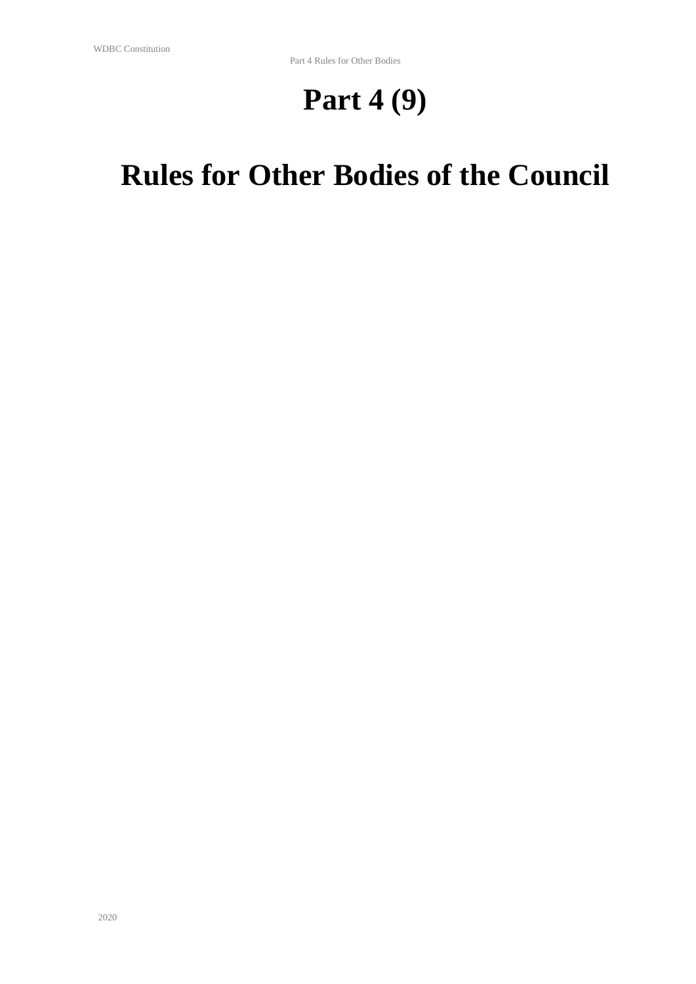# **Part 4 (9)**

# **Rules for Other Bodies of the Council**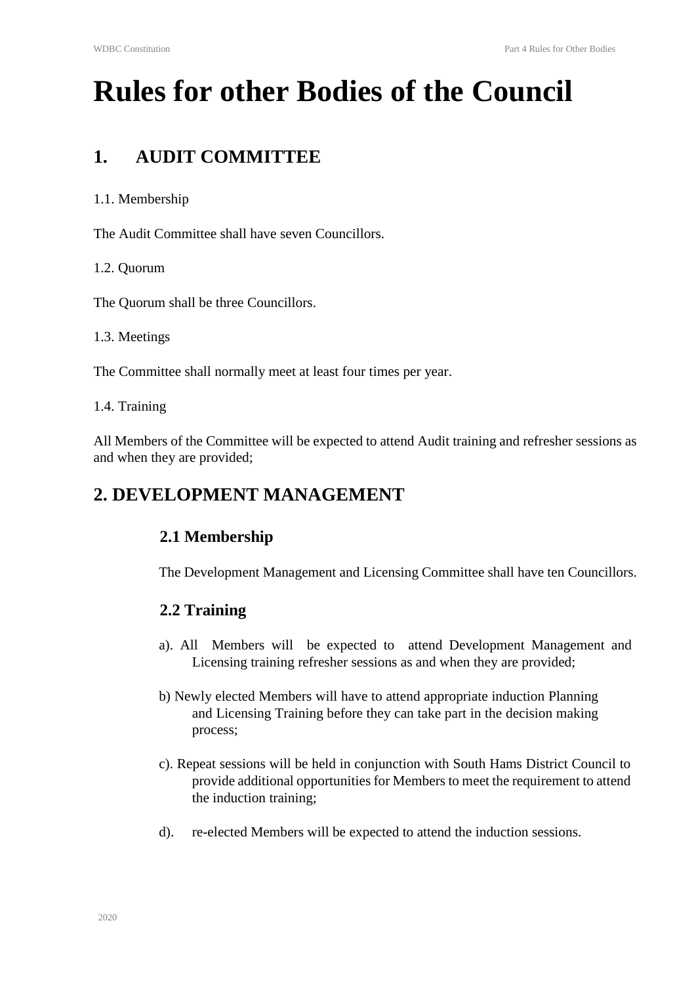# **Rules for other Bodies of the Council**

# **1. AUDIT COMMITTEE**

#### 1.1. Membership

The Audit Committee shall have seven Councillors.

1.2. Quorum

The Quorum shall be three Councillors.

1.3. Meetings

The Committee shall normally meet at least four times per year.

1.4. Training

All Members of the Committee will be expected to attend Audit training and refresher sessions as and when they are provided;

# **2. DEVELOPMENT MANAGEMENT**

# **2.1 Membership**

The Development Management and Licensing Committee shall have ten Councillors.

#### **2.2 Training**

- a). All Members will be expected to attend Development Management and Licensing training refresher sessions as and when they are provided;
- b) Newly elected Members will have to attend appropriate induction Planning and Licensing Training before they can take part in the decision making process;
- c). Repeat sessions will be held in conjunction with South Hams District Council to provide additional opportunities for Members to meet the requirement to attend the induction training;
- d). re-elected Members will be expected to attend the induction sessions.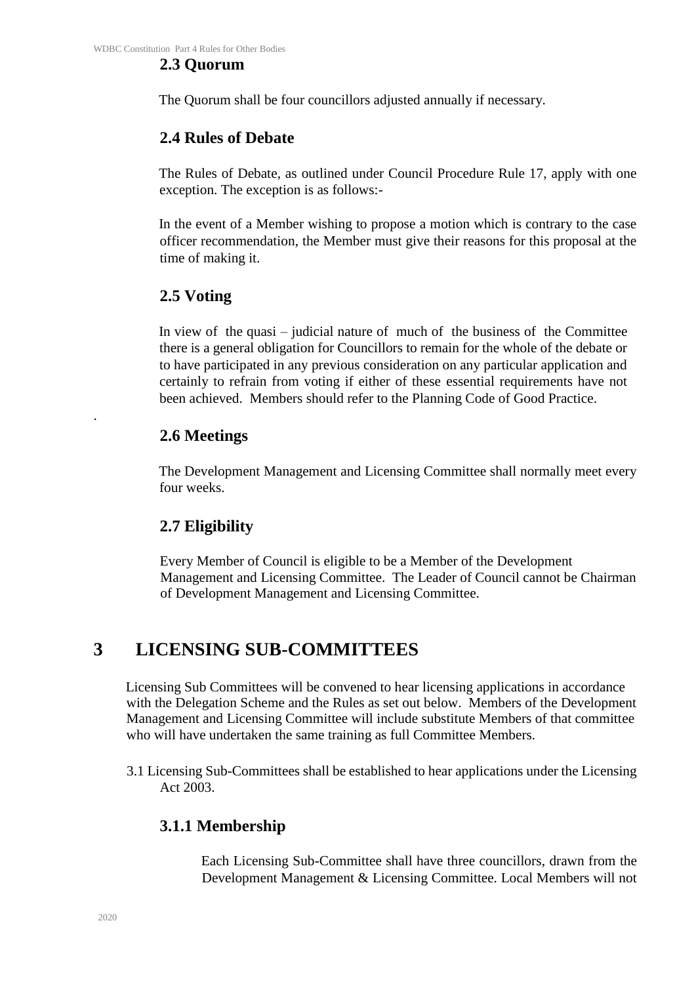#### **2.3 Quorum**

The Quorum shall be four councillors adjusted annually if necessary.

#### **2.4 Rules of Debate**

The Rules of Debate, as outlined under Council Procedure Rule 17, apply with one exception. The exception is as follows:-

In the event of a Member wishing to propose a motion which is contrary to the case officer recommendation, the Member must give their reasons for this proposal at the time of making it.

#### **2.5 Voting**

In view of the quasi – judicial nature of much of the business of the Committee there is a general obligation for Councillors to remain for the whole of the debate or to have participated in any previous consideration on any particular application and certainly to refrain from voting if either of these essential requirements have not been achieved. Members should refer to the Planning Code of Good Practice.

#### **2.6 Meetings**

The Development Management and Licensing Committee shall normally meet every four weeks.

#### **2.7 Eligibility**

Every Member of Council is eligible to be a Member of the Development Management and Licensing Committee. The Leader of Council cannot be Chairman of Development Management and Licensing Committee.

# **3 LICENSING SUB-COMMITTEES**

Licensing Sub Committees will be convened to hear licensing applications in accordance with the Delegation Scheme and the Rules as set out below. Members of the Development Management and Licensing Committee will include substitute Members of that committee who will have undertaken the same training as full Committee Members.

3.1 Licensing Sub-Committees shall be established to hear applications under the Licensing Act 2003.

#### **3.1.1 Membership**

Each Licensing Sub-Committee shall have three councillors, drawn from the Development Management & Licensing Committee. Local Members will not

.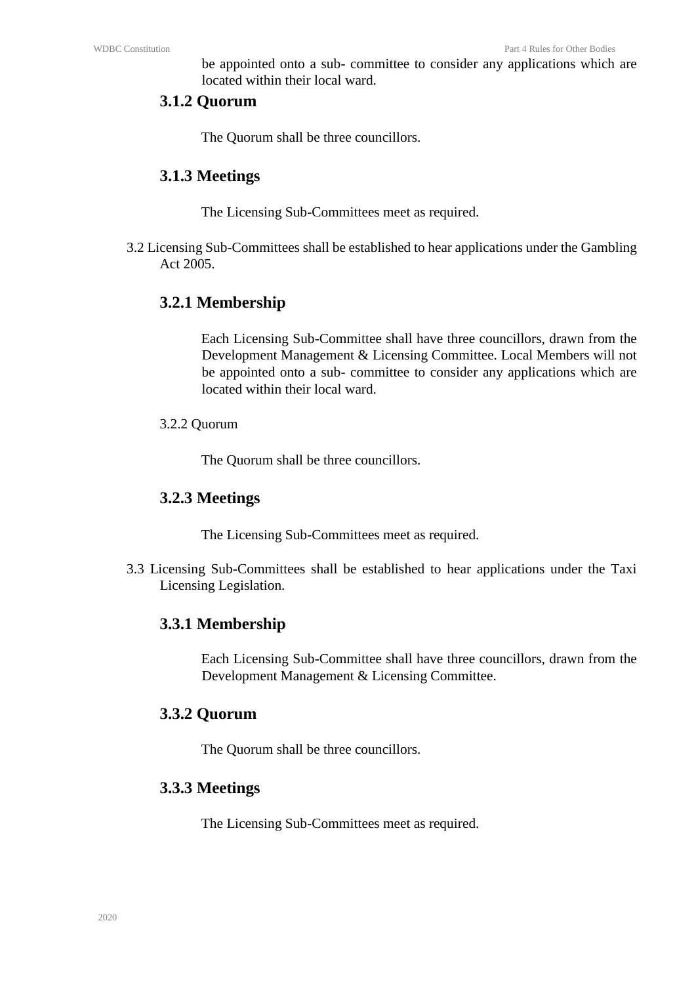be appointed onto a sub- committee to consider any applications which are located within their local ward.

#### **3.1.2 Quorum**

The Quorum shall be three councillors.

#### **3.1.3 Meetings**

The Licensing Sub-Committees meet as required.

3.2 Licensing Sub-Committees shall be established to hear applications under the Gambling Act 2005.

#### **3.2.1 Membership**

Each Licensing Sub-Committee shall have three councillors, drawn from the Development Management & Licensing Committee. Local Members will not be appointed onto a sub- committee to consider any applications which are located within their local ward.

3.2.2 Quorum

The Quorum shall be three councillors.

#### **3.2.3 Meetings**

The Licensing Sub-Committees meet as required.

3.3 Licensing Sub-Committees shall be established to hear applications under the Taxi Licensing Legislation.

#### **3.3.1 Membership**

Each Licensing Sub-Committee shall have three councillors, drawn from the Development Management & Licensing Committee.

#### **3.3.2 Quorum**

The Quorum shall be three councillors.

#### **3.3.3 Meetings**

The Licensing Sub-Committees meet as required.